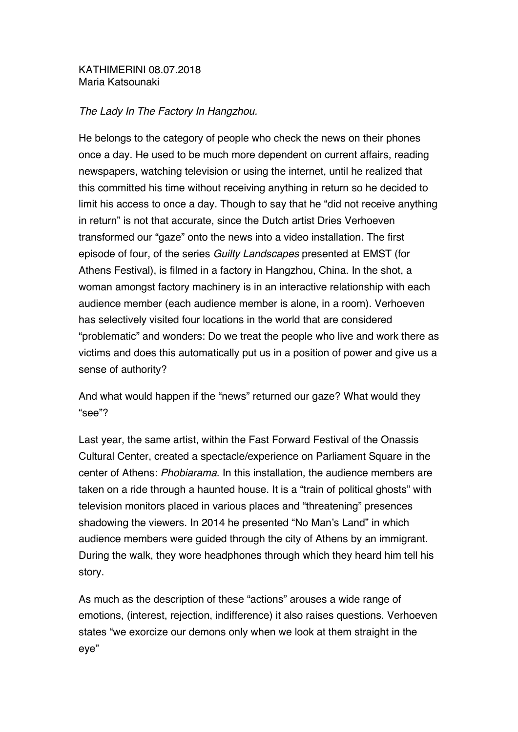## KATHIMERINI 08.07.2018 Maria Katsounaki

## *The Lady In The Factory In Hangzhou.*

He belongs to the category of people who check the news on their phones once a day. He used to be much more dependent on current affairs, reading newspapers, watching television or using the internet, until he realized that this committed his time without receiving anything in return so he decided to limit his access to once a day. Though to say that he "did not receive anything in return" is not that accurate, since the Dutch artist Dries Verhoeven transformed our "gaze" onto the news into a video installation. The first episode of four, of the series *Guilty Landscapes* presented at EMST (for Athens Festival), is filmed in a factory in Hangzhou, China. In the shot, a woman amongst factory machinery is in an interactive relationship with each audience member (each audience member is alone, in a room). Verhoeven has selectively visited four locations in the world that are considered "problematic" and wonders: Do we treat the people who live and work there as victims and does this automatically put us in a position of power and give us a sense of authority?

And what would happen if the "news" returned our gaze? What would they "see"?

Last year, the same artist, within the Fast Forward Festival of the Onassis Cultural Center, created a spectacle/experience on Parliament Square in the center of Athens: *Phobiarama*. In this installation, the audience members are taken on a ride through a haunted house. It is a "train of political ghosts" with television monitors placed in various places and "threatening" presences shadowing the viewers. In 2014 he presented "No Man's Land" in which audience members were guided through the city of Athens by an immigrant. During the walk, they wore headphones through which they heard him tell his story.

As much as the description of these "actions" arouses a wide range of emotions, (interest, rejection, indifference) it also raises questions. Verhoeven states "we exorcize our demons only when we look at them straight in the eye"